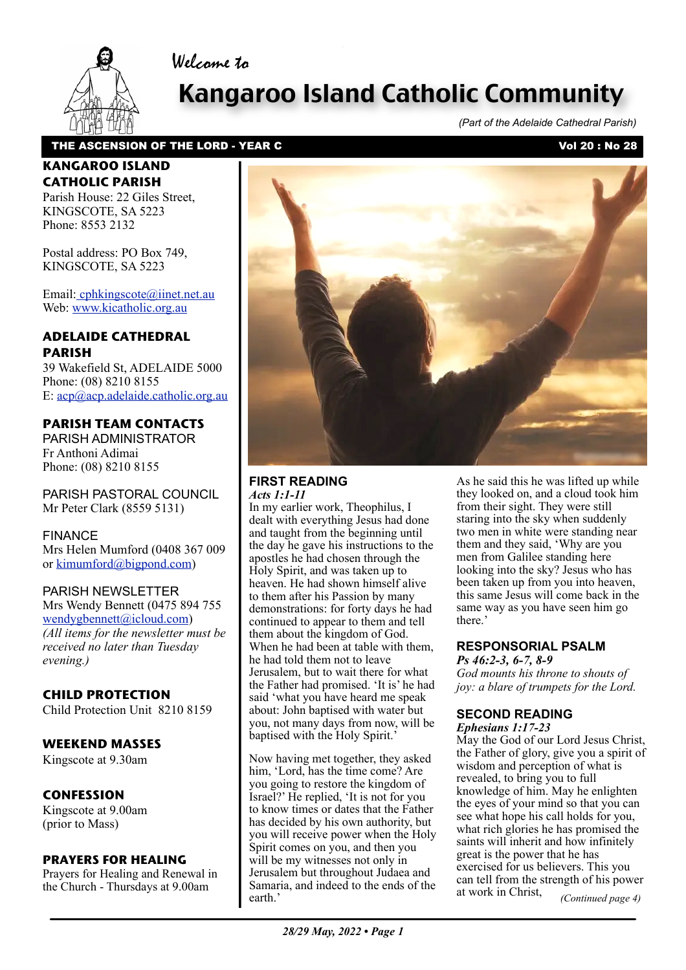

# Kangaroo Island Catholic Community

*(Part of the Adelaide Cathedral Parish)*

### THE ASCENSION OF THE LORD - YEAR C<br>
Vol 20 : No 28

Welcome to

### **KANGAROO ISLAND CATHOLIC PARISH**

Parish House: 22 Giles Street, KINGSCOTE, SA 5223 Phone: 8553 2132

Postal address: PO Box 749, KINGSCOTE, SA 5223

Email[: cphkingscote@iinet.net.au](mailto:cphkingscote@iinet.net.au) Web: [www.kicatholic.org.au](http://www.kicatholic.org.au)

### **ADELAIDE CATHEDRAL PARISH**

39 Wakefield St, ADELAIDE 5000 Phone: (08) 8210 8155 E: [acp@acp.adelaide.catholic.org.au](mailto:?subject=)

### **PARISH TEAM CONTACTS**

PARISH ADMINISTRATOR Fr Anthoni Adimai Phone: (08) 8210 8155

PARISH PASTORAL COUNCIL Mr Peter Clark (8559 5131)

### FINANCE

Mrs Helen Mumford (0408 367 009 or [kimumford@bigpond.com\)](mailto:kimumford@bigpond.com)

### PARISH NEWSLETTER

Mrs Wendy Bennett (0475 894 755 [wendygbennett@icloud.com\)](mailto:wendygbennett@icloud.com) *(All items for the newsletter must be received no later than Tuesday evening.)*

### **CHILD PROTECTION**

Child Protection Unit 8210 8159

### **WEEKEND MASSES**

Kingscote at 9.30am

### **CONFESSION**

Kingscote at 9.00am (prior to Mass)

### **PRAYERS FOR HEALING**

Prayers for Healing and Renewal in the Church - Thursdays at 9.00am



### **FIRST READING** *Acts 1:1-11*

In my earlier work, Theophilus, I dealt with everything Jesus had done and taught from the beginning until the day he gave his instructions to the apostles he had chosen through the Holy Spirit, and was taken up to heaven. He had shown himself alive to them after his Passion by many demonstrations: for forty days he had continued to appear to them and tell them about the kingdom of God. When he had been at table with them, he had told them not to leave Jerusalem, but to wait there for what the Father had promised. 'It is' he had said 'what you have heard me speak about: John baptised with water but you, not many days from now, will be baptised with the Holy Spirit.

Now having met together, they asked him, 'Lord, has the time come? Are you going to restore the kingdom of Israel?' He replied, 'It is not for you to know times or dates that the Father has decided by his own authority, but [you will receive power when the Holy](file://localhost/Users/gaelterrymaloney/Documents/aa%20Parish%20Newsletter/%20%20%20%20Current%20newsletter/11_12_March,%202017.pages)  Spirit comes on you, and then you will be my witnesses not only in Jerusalem but throughout Judaea and Samaria, and indeed to the ends of the earth.'

As he said this he was lifted up while they looked on, and a cloud took him from their sight. They were still staring into the sky when suddenly two men in white were standing near them and they said, 'Why are you men from Galilee standing here looking into the sky? Jesus who has been taken up from you into heaven, this same Jesus will come back in the same way as you have seen him go there.'

### **RESPONSORIAL PSALM**

*Ps 46:2-3, 6-7, 8-9 God mounts his throne to shouts of joy: a blare of trumpets for the Lord.*

### **SECOND READING**

*Ephesians 1:17-23*

May the God of our Lord Jesus Christ, the Father of glory, give you a spirit of wisdom and perception of what is revealed, to bring you to full knowledge of him. May he enlighten the eyes of your mind so that you can see what hope his call holds for you, what rich glories he has promised the saints will inherit and how infinitely great is the power that he has exercised for us believers. This you can tell from the strength of his power at work in Christ, *(Continued page 4)*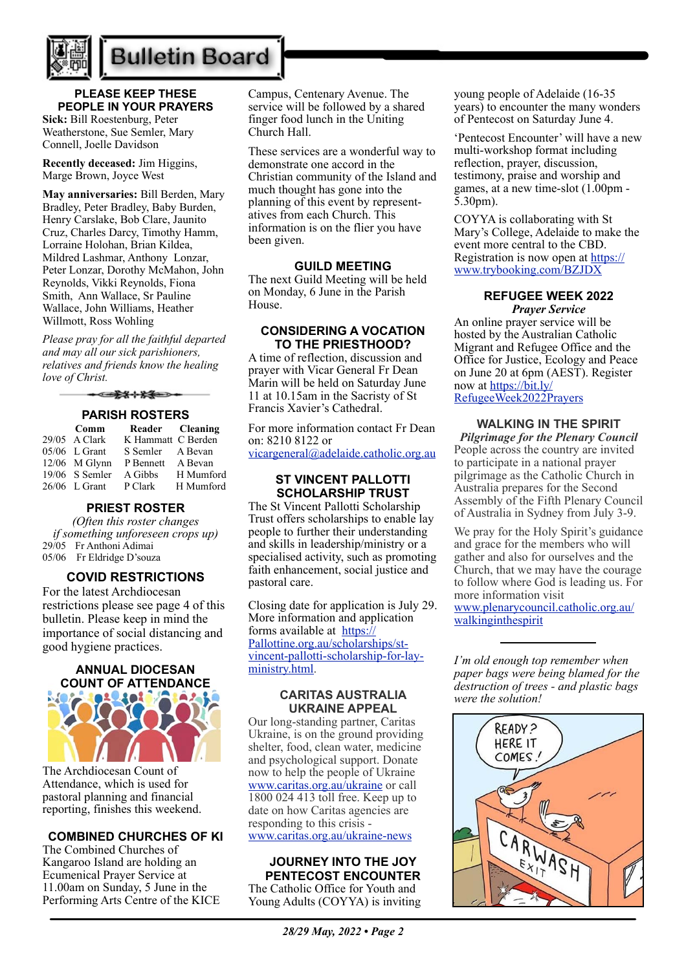

## **Bulletin Board**

### **PLEASE KEEP THESE PEOPLE IN YOUR PRAYERS**

**Sick:** Bill Roestenburg, Peter Weatherstone, Sue Semler, Mary Connell, Joelle Davidson

**Recently deceased:** Jim Higgins, Marge Brown, Joyce West

**May anniversaries:** Bill Berden, Mary Bradley, Peter Bradley, Baby Burden, Henry Carslake, Bob Clare, Jaunito Cruz, Charles Darcy, Timothy Hamm, Lorraine Holohan, Brian Kildea, Mildred Lashmar, Anthony Lonzar, Peter Lonzar, Dorothy McMahon, John Reynolds, Vikki Reynolds, Fiona Smith, Ann Wallace, Sr Pauline Wallace, John Williams, Heather Willmott, Ross Wohling

*Please pray for all the faithful departed and may all our sick parishioners, relatives and friends know the healing love of Christ.*

</u>

### **PARISH ROSTERS**

| Comm             |                    | Reader Cleaning |
|------------------|--------------------|-----------------|
| 29/05 A Clark    | K Hammatt C Berden |                 |
| $05/06$ L Grant  | S Semler           | A Bevan         |
| $12/06$ M Glynn  | P Bennett          | A Bevan         |
| $19/06$ S Semler | A Gibbs            | H Mumford       |
| $26/06$ L Grant  | P Clark            | H Mumford       |

### **PRIEST ROSTER**

*(Often this roster changes if something unforeseen crops up)* 29/05 Fr Anthoni Adimai 05/06 Fr Eldridge D'souza

### **COVID RESTRICTIONS**

For the latest Archdiocesan restrictions please see page 4 of this bulletin. Please keep in mind the importance of social distancing and good hygiene practices.

# **ANNUAL DIOCESAN COUNT OF ATTENDANCE**

The Archdiocesan Count of Attendance, which is used for pastoral planning and financial reporting, finishes this weekend.

### **COMBINED CHURCHES OF KI**

The Combined Churches of Kangaroo Island are holding an Ecumenical Prayer Service at 11.00am on Sunday, 5 June in the Performing Arts Centre of the KICE

Campus, Centenary Avenue. The service will be followed by a shared finger food lunch in the Uniting Church Hall.

These services are a wonderful way to demonstrate one accord in the Christian community of the Island and much thought has gone into the planning of this event by representatives from each Church. This information is on the flier you have been given.

### **GUILD MEETING**

The next Guild Meeting will be held on Monday, 6 June in the Parish House.

### **CONSIDERING A VOCATION TO THE PRIESTHOOD?**

A time of reflection, discussion and prayer with Vicar General Fr Dean Marin will be held on Saturday June 11 at 10.15am in the Sacristy of St Francis Xavier's Cathedral.

For more information contact Fr Dean on: 8210 8122 or

[vicargeneral@adelaide.catholic.org.au](mailto:vicargeneral@adelaide.catholic.org.au)

### **ST VINCENT PALLOTTI SCHOLARSHIP TRUST**

The St Vincent Pallotti Scholarship Trust offers scholarships to enable lay people to further their understanding and skills in leadership/ministry or a specialised activity, such as promoting faith enhancement, social justice and pastoral care.

Closing date for application is July 29. More information and application forms available at [https://](https://Pallottine.org.au/scholarships/st-vincent-pallotti-scholarship-for-lay-ministry.html) [Pallottine.org.au/scholarships/st](https://Pallottine.org.au/scholarships/st-vincent-pallotti-scholarship-for-lay-ministry.html)[vincent-pallotti-scholarship-for-lay](https://Pallottine.org.au/scholarships/st-vincent-pallotti-scholarship-for-lay-ministry.html)[ministry.html](https://Pallottine.org.au/scholarships/st-vincent-pallotti-scholarship-for-lay-ministry.html).

### **CARITAS AUSTRALIA UKRAINE APPEAL**

Our long-standing partner, Caritas Ukraine, is on the ground providing shelter, food, clean water, medicine and psychological support. Donate now to help the people of Ukraine [www.caritas.org.au/ukraine](https://aus01.safelinks.protection.outlook.com/?url=http%3A%2F%2Fwww.caritas.org.au%2Fukraine&data=04%7C01%7CCco-Reception%40adelaide.catholic.org.au%7Cfc58bf7f33d340f2ee9b08da07b447d1%7Cfe51d108d61d407cbcaaaab5af82a7ac%7C1%7C0%7C637830768121954887%7CUnknown%7CTWFpbGZsb3d8eyJWIjoiMC4wLjAwMDAiLCJQIjoiV2luMzIiLCJBTiI6Ik1haWwiLCJXVCI6Mn0%3D%7C3000&sdata=rOXCte9AEd2c89fp5zaw9%2FEi7PK87M7lemKGAncPi%2B8%3D&reserved=0) or call 1800 024 413 toll free. Keep up to date on how Caritas agencies are responding to this crisis [www.caritas.org.au/ukraine-news](https://aus01.safelinks.protection.outlook.com/?url=http%3A%2F%2Fwww.caritas.org.au%2Fukraine-news&data=04%7C01%7CCco-Reception%40adelaide.catholic.org.au%7Cfc58bf7f33d340f2ee9b08da07b447d1%7Cfe51d108d61d407cbcaaaab5af82a7ac%7C1%7C0%7C637830768121954887%7CUnknown%7CTWFpbGZsb3d8eyJWIjoiMC4wLjAwMDAiLCJQIjoiV2luMzIiLCJBTiI6Ik1haWwiLCJXVCI6Mn0%3D%7C3000&sdata=GLRcp0dt1SgGoLPRBlSbLWB%2Fp8GMz2LoehdjvnSFQWg%3D&reserved=0)

## **JOURNEY INTO THE JOY**

**PENTECOST ENCOUNTER** The Catholic Office for Youth and Young Adults (COYYA) is inviting young people of Adelaide (16-35 years) to encounter the many wonders of Pentecost on Saturday June 4.

'Pentecost Encounter' will have a new multi-workshop format including reflection, prayer, discussion, testimony, praise and worship and games, at a new time-slot (1.00pm - 5.30pm).

COYYA is collaborating with St Mary's College, Adelaide to make the event more central to the CBD. Registration is now open at [https://](https://aus01.safelinks.protection.outlook.com/?url=https%3A%2F%2Fwww.trybooking.com%2FBZJDX&data=05%7C01%7CCco-Reception%40adelaide.catholic.org.au%7C3768892bd32343fd910608da314fec66%7Cfe51d108d61d407cbcaaaab5af82a7ac%7C1%7C0%7C637876516609261073%7CUnknown%7CTWFpbGZsb3d8eyJWIjoiMC4wLjAwMDAiLCJQIjoiV2luMzIiLCJBTiI6Ik1haWwiLCJXVCI6Mn0%3D%7C3000%7C%7C%7C&sdata=zg%2Fj9y8sH%2F4lbWzCQU3RBlBjGT8D8mLsDtB6m0RcpRM%3D&reserved=0) [www.trybooking.com/BZJDX](https://aus01.safelinks.protection.outlook.com/?url=https%3A%2F%2Fwww.trybooking.com%2FBZJDX&data=05%7C01%7CCco-Reception%40adelaide.catholic.org.au%7C3768892bd32343fd910608da314fec66%7Cfe51d108d61d407cbcaaaab5af82a7ac%7C1%7C0%7C637876516609261073%7CUnknown%7CTWFpbGZsb3d8eyJWIjoiMC4wLjAwMDAiLCJQIjoiV2luMzIiLCJBTiI6Ik1haWwiLCJXVCI6Mn0%3D%7C3000%7C%7C%7C&sdata=zg%2Fj9y8sH%2F4lbWzCQU3RBlBjGT8D8mLsDtB6m0RcpRM%3D&reserved=0)

### **REFUGEE WEEK 2022** *Prayer Service*

An online prayer service will be hosted by the Australian Catholic Migrant and Refugee Office and the Office for Justice, Ecology and Peace on June 20 at 6pm (AEST). Register now at [https://bit.ly/](https://bit.ly/RefugeeWeek2022Prayers) [RefugeeWeek2022Prayers](https://bit.ly/RefugeeWeek2022Prayers)

### **WALKING IN THE SPIRIT**

*Pilgrimage for the Plenary Council*  People across the country are invited to participate in a national prayer pilgrimage as the Catholic Church in Australia prepares for the Second Assembly of the Fifth Plenary Council of Australia in Sydney from July 3-9.

We pray for the Holy Spirit's guidance and grace for the members who will gather and also for ourselves and the Church, that we may have the courage to follow where God is leading us. For more information visit [www.plenarycouncil.catholic.org.au/](http://www.plenarycouncil.catholic.org.au/walkinginthespirit) [walkinginthespirit](http://www.plenarycouncil.catholic.org.au/walkinginthespirit)

*I'm old enough top remember when paper bags were being blamed for the destruction of trees - and plastic bags were the solution!*

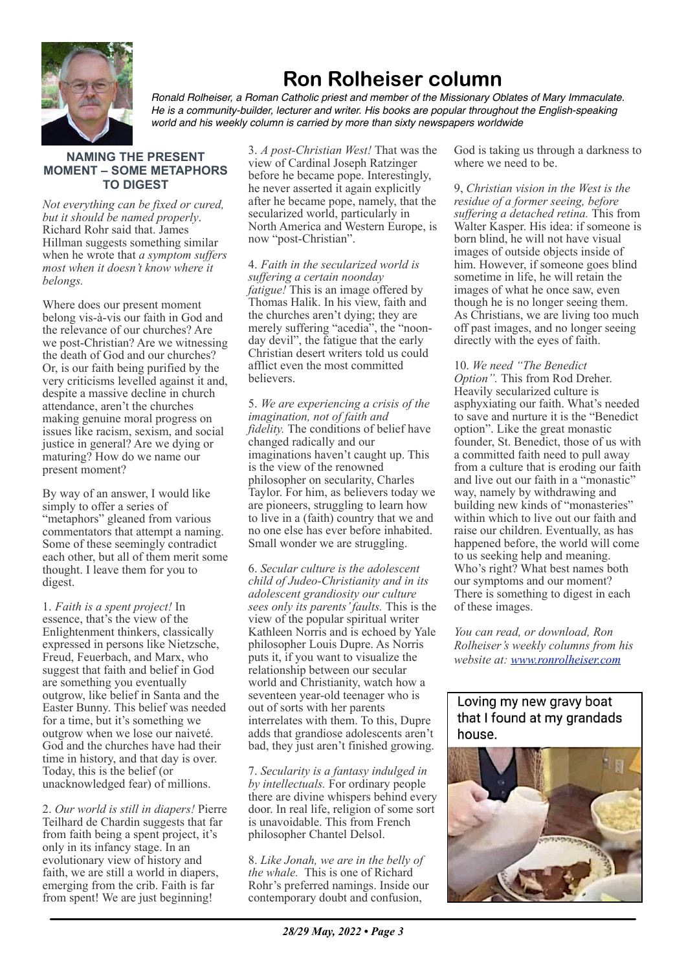

## **Ron Rolheiser column**

*Ronald Rolheiser, a Roman Catholic priest and member of the Missionary Oblates of Mary Immaculate. He is a community-builder, lecturer and writer. His books are popular throughout the English-speaking world and his weekly column is carried by more than sixty newspapers worldwide*

### **NAMING THE PRESENT MOMENT – SOME METAPHORS TO DIGEST**

*Not everything can be fixed or cured, but it should be named properly*. Richard Rohr said that. James Hillman suggests something similar when he wrote that *a symptom suffers most when it doesn't know where it belongs.*

Where does our present moment belong vis-à-vis our faith in God and the relevance of our churches? Are we post-Christian? Are we witnessing the death of God and our churches? Or, is our faith being purified by the very criticisms levelled against it and, despite a massive decline in church attendance, aren't the churches making genuine moral progress on issues like racism, sexism, and social justice in general? Are we dying or maturing? How do we name our present moment?

By way of an answer, I would like simply to offer a series of "metaphors" gleaned from various commentators that attempt a naming. Some of these seemingly contradict each other, but all of them merit some thought. I leave them for you to digest.

1. *Faith is a spent project!* In essence, that's the view of the Enlightenment thinkers, classically expressed in persons like Nietzsche, Freud, Feuerbach, and Marx, who suggest that faith and belief in God are something you eventually outgrow, like belief in Santa and the Easter Bunny. This belief was needed for a time, but it's something we outgrow when we lose our naiveté. God and the churches have had their time in history, and that day is over. Today, this is the belief (or unacknowledged fear) of millions.

2. *Our world is still in diapers!* Pierre Teilhard de Chardin suggests that far from faith being a spent project, it's only in its infancy stage. In an evolutionary view of history and faith, we are still a world in diapers, emerging from the crib. Faith is far from spent! We are just beginning!

3. *A post-Christian West!* That was the view of Cardinal Joseph Ratzinger before he became pope. Interestingly, he never asserted it again explicitly after he became pope, namely, that the secularized world, particularly in North America and Western Europe, is now "post-Christian".

4. *Faith in the secularized world is suffering a certain noonday fatigue!* This is an image offered by Thomas Halik. In his view, faith and the churches aren't dying; they are merely suffering "acedia", the "noonday devil", the fatigue that the early Christian desert writers told us could afflict even the most committed believers.

5. *We are experiencing a crisis of the imagination, not of faith and fidelity.* The conditions of belief have changed radically and our imaginations haven't caught up. This is the view of the renowned philosopher on secularity, Charles Taylor. For him, as believers today we are pioneers, struggling to learn how to live in a (faith) country that we and no one else has ever before inhabited. Small wonder we are struggling.

6. *Secular culture is the adolescent child of Judeo-Christianity and in its adolescent grandiosity our culture sees only its parents' faults.* This is the view of the popular spiritual writer Kathleen Norris and is echoed by Yale philosopher Louis Dupre. As Norris puts it, if you want to visualize the relationship between our secular world and Christianity, watch how a seventeen year-old teenager who is out of sorts with her parents interrelates with them. To this, Dupre adds that grandiose adolescents aren't bad, they just aren't finished growing.

7. *Secularity is a fantasy indulged in by intellectuals.* For ordinary people there are divine whispers behind every door. In real life, religion of some sort is unavoidable. This from French philosopher Chantel Delsol.

8. *Like Jonah, we are in the belly of the whale.* This is one of Richard Rohr's preferred namings. Inside our contemporary doubt and confusion,

God is taking us through a darkness to where we need to be.

9, *Christian vision in the West is the residue of a former seeing, before suffering a detached retina.* This from Walter Kasper. His idea: if someone is born blind, he will not have visual images of outside objects inside of him. However, if someone goes blind sometime in life, he will retain the images of what he once saw, even though he is no longer seeing them. As Christians, we are living too much off past images, and no longer seeing directly with the eyes of faith.

10. *We need "The Benedict Option".* This from Rod Dreher. Heavily secularized culture is asphyxiating our faith. What's needed to save and nurture it is the "Benedict option". Like the great monastic founder, St. Benedict, those of us with a committed faith need to pull away from a culture that is eroding our faith and live out our faith in a "monastic" way, namely by withdrawing and building new kinds of "monasteries" within which to live out our faith and raise our children. Eventually, as has happened before, the world will come to us seeking help and meaning. Who's right? What best names both our symptoms and our moment? There is something to digest in each of these images.

*You can read, or download, Ron Rolheiser's weekly columns from his website at: [www.ronrolheiser.com](http://www.ronrolheiser.com)*

Loving my new gravy boat that I found at my grandads house.